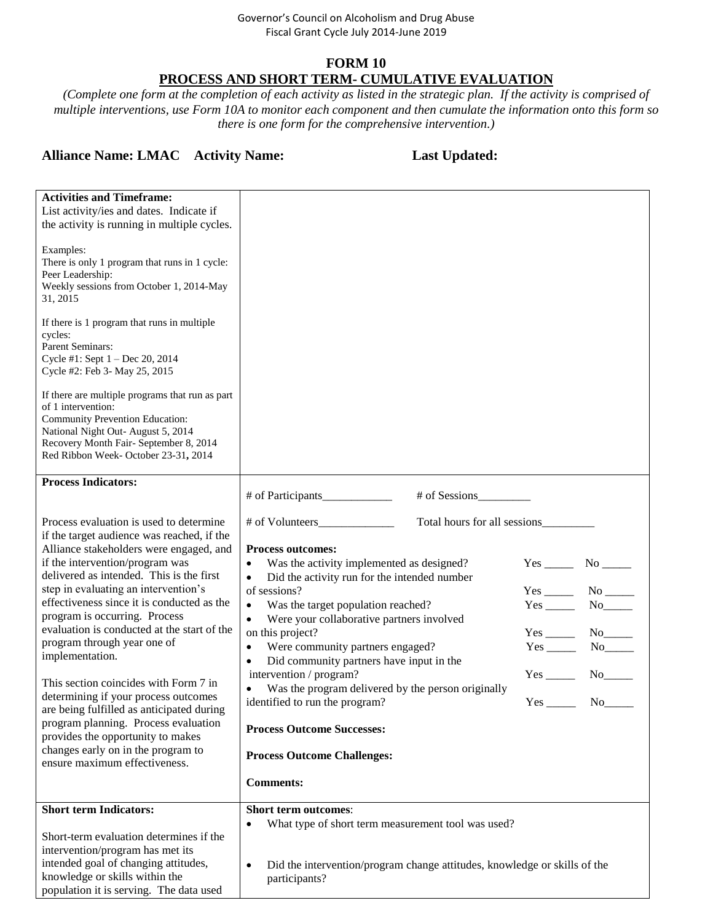#### Governor's Council on Alcoholism and Drug Abuse Fiscal Grant Cycle July 2014-June 2019

### **FORM 10 PROCESS AND SHORT TERM- CUMULATIVE EVALUATION**

*(Complete one form at the completion of each activity as listed in the strategic plan. If the activity is comprised of multiple interventions, use Form 10A to monitor each component and then cumulate the information onto this form so there is one form for the comprehensive intervention.)*

## **Alliance Name: LMAC Activity Name: Last Updated:**

| <b>Activities and Timeframe:</b><br>List activity/ies and dates. Indicate if<br>the activity is running in multiple cycles.<br>Examples:                                                                                         |                                                                                                         |            |                       |
|----------------------------------------------------------------------------------------------------------------------------------------------------------------------------------------------------------------------------------|---------------------------------------------------------------------------------------------------------|------------|-----------------------|
| There is only 1 program that runs in 1 cycle:<br>Peer Leadership:<br>Weekly sessions from October 1, 2014-May<br>31, 2015                                                                                                        |                                                                                                         |            |                       |
| If there is 1 program that runs in multiple<br>cycles:<br>Parent Seminars:<br>Cycle #1: Sept 1 - Dec 20, 2014<br>Cycle #2: Feb 3- May 25, 2015                                                                                   |                                                                                                         |            |                       |
| If there are multiple programs that run as part<br>of 1 intervention:<br>Community Prevention Education:<br>National Night Out- August 5, 2014<br>Recovery Month Fair- September 8, 2014<br>Red Ribbon Week- October 23-31, 2014 |                                                                                                         |            |                       |
| <b>Process Indicators:</b>                                                                                                                                                                                                       | # of Sessions<br># of Participants                                                                      |            |                       |
|                                                                                                                                                                                                                                  |                                                                                                         |            |                       |
| Process evaluation is used to determine<br>if the target audience was reached, if the                                                                                                                                            | Total hours for all sessions<br># of Volunteers                                                         |            |                       |
| Alliance stakeholders were engaged, and                                                                                                                                                                                          | <b>Process outcomes:</b>                                                                                |            |                       |
| if the intervention/program was                                                                                                                                                                                                  | Was the activity implemented as designed?<br>$\bullet$                                                  |            |                       |
| delivered as intended. This is the first<br>step in evaluating an intervention's                                                                                                                                                 | Did the activity run for the intended number<br>$\bullet$                                               |            |                       |
| effectiveness since it is conducted as the                                                                                                                                                                                       | of sessions?<br>Was the target population reached?<br>$\bullet$                                         |            | $No$ <sub>_____</sub> |
| program is occurring. Process                                                                                                                                                                                                    | Were your collaborative partners involved<br>$\bullet$                                                  |            |                       |
| evaluation is conducted at the start of the                                                                                                                                                                                      | on this project?                                                                                        |            |                       |
| program through year one of<br>implementation.                                                                                                                                                                                   | Were community partners engaged?<br>$\bullet$                                                           |            |                       |
|                                                                                                                                                                                                                                  | Did community partners have input in the<br>$\bullet$<br>intervention / program?                        |            | $No_$                 |
| This section coincides with Form 7 in                                                                                                                                                                                            | Was the program delivered by the person originally                                                      |            |                       |
| determining if your process outcomes<br>are being fulfilled as anticipated during                                                                                                                                                | identified to run the program?                                                                          | <b>Yes</b> | No.                   |
| program planning. Process evaluation<br>provides the opportunity to makes                                                                                                                                                        | <b>Process Outcome Successes:</b>                                                                       |            |                       |
| changes early on in the program to<br>ensure maximum effectiveness.                                                                                                                                                              | <b>Process Outcome Challenges:</b>                                                                      |            |                       |
|                                                                                                                                                                                                                                  | <b>Comments:</b>                                                                                        |            |                       |
| <b>Short term Indicators:</b>                                                                                                                                                                                                    | <b>Short term outcomes:</b>                                                                             |            |                       |
| Short-term evaluation determines if the<br>intervention/program has met its                                                                                                                                                      | What type of short term measurement tool was used?                                                      |            |                       |
| intended goal of changing attitudes,<br>knowledge or skills within the<br>population it is serving. The data used                                                                                                                | Did the intervention/program change attitudes, knowledge or skills of the<br>$\bullet$<br>participants? |            |                       |